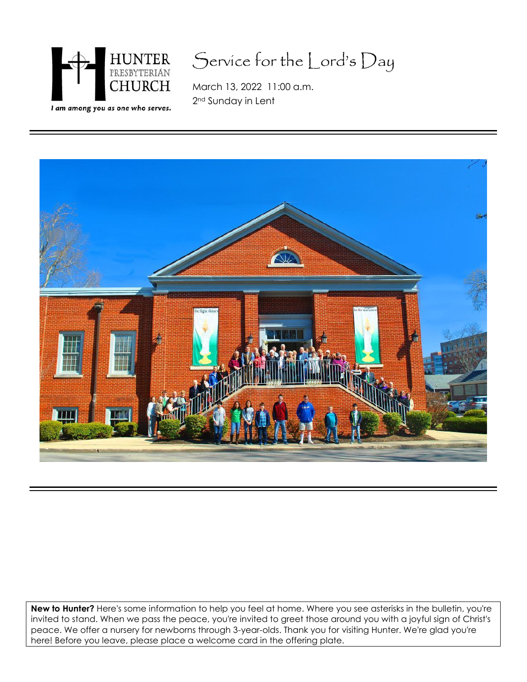

# Service for the Lord's Day

March 13, 2022 11:00 a.m. 2nd Sunday in Lent



**New to Hunter?** Here's some information to help you feel at home. Where you see asterisks in the bulletin, you're invited to stand. When we pass the peace, you're invited to greet those around you with a joyful sign of Christ's peace. We offer a nursery for newborns through 3-year-olds. Thank you for visiting Hunter. We're glad you're here! Before you leave, please place a welcome card in the offering plate.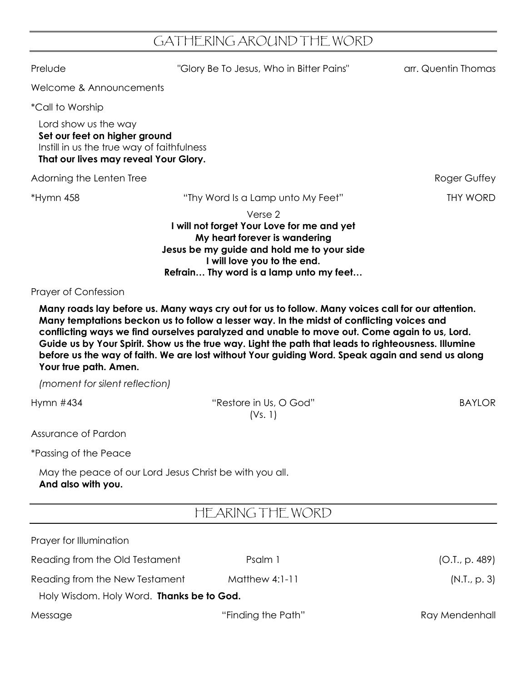## GATHERING AROUND THE WORD

Prelude The Colory Be To Jesus, Who in Bitter Pains" arr. Quentin Thomas Welcome & Announcements \*Call to Worship Lord show us the way **Set our feet on higher ground** Instill in us the true way of faithfulness **That our lives may reveal Your Glory.** Adorning the Lenten Tree **Roger Guffey** \*Hymn 458 "Thy Word Is a Lamp unto My Feet" THY WORD Verse 2 **I will not forget Your Love for me and yet My heart forever is wandering Jesus be my guide and hold me to your side I will love you to the end. Refrain… Thy word is a lamp unto my feet…** Prayer of Confession **Many roads lay before us. Many ways cry out for us to follow. Many voices call for our attention. Many temptations beckon us to follow a lesser way. In the midst of conflicting voices and conflicting ways we find ourselves paralyzed and unable to move out. Come again to us, Lord. Guide us by Your Spirit. Show us the true way. Light the path that leads to righteousness. Illumine before us the way of faith. We are lost without Your guiding Word. Speak again and send us along Your true path. Amen.** *(moment for silent reflection)* Hymn #434 **Example 3 ASSESS** The Mestore in Us, O God" BAYLOR (Vs. 1) Assurance of Pardon

\*Passing of the Peace

May the peace of our Lord Jesus Christ be with you all. **And also with you.**

## HEARING THE WORD

| Prayer for Illumination                   |                    |                |  |  |
|-------------------------------------------|--------------------|----------------|--|--|
| Reading from the Old Testament            | Psalm 1            | (O.T., p. 489) |  |  |
| Reading from the New Testament            | Matthew $4:1-11$   | (N.I., p. 3)   |  |  |
| Holy Wisdom. Holy Word. Thanks be to God. |                    |                |  |  |
| Message                                   | "Finding the Path" | Ray Mendenhall |  |  |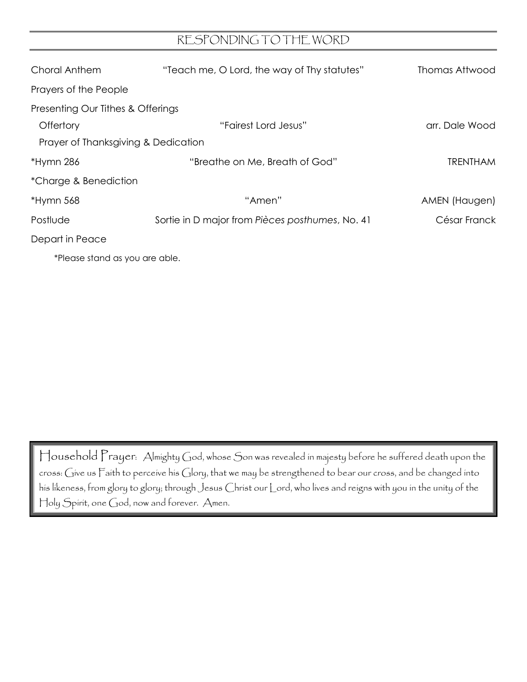#### RESPONDING TO THE WORD

| Choral Anthem                       | "Teach me, O Lord, the way of Thy statutes"     | Thomas Attwood  |  |
|-------------------------------------|-------------------------------------------------|-----------------|--|
| Prayers of the People               |                                                 |                 |  |
| Presenting Our Tithes & Offerings   |                                                 |                 |  |
| Offertory                           | "Fairest Lord Jesus"                            | arr. Dale Wood  |  |
| Prayer of Thanksgiving & Dedication |                                                 |                 |  |
| *Hymn 286                           | "Breathe on Me, Breath of God"                  | <b>TRENTHAM</b> |  |
| *Charge & Benediction               |                                                 |                 |  |
| $*Hymn 568$                         | "Amen"                                          | AMEN (Haugen)   |  |
| Postlude                            | Sortie in D major from Pièces posthumes, No. 41 | César Franck    |  |
| Depart in Peace                     |                                                 |                 |  |

\*Please stand as you are able.

Household Prayer: Almighty God, whose Son was revealed in majesty before he suffered death upon the cross: Give us Faith to perceive his Glory, that we may be strengthened to bear our cross, and be changed into his likeness, from glory to glory; through Jesus Christ our Lord, who lives and reigns with you in the unity of the Holy Spirit, one God, now and forever. Amen.